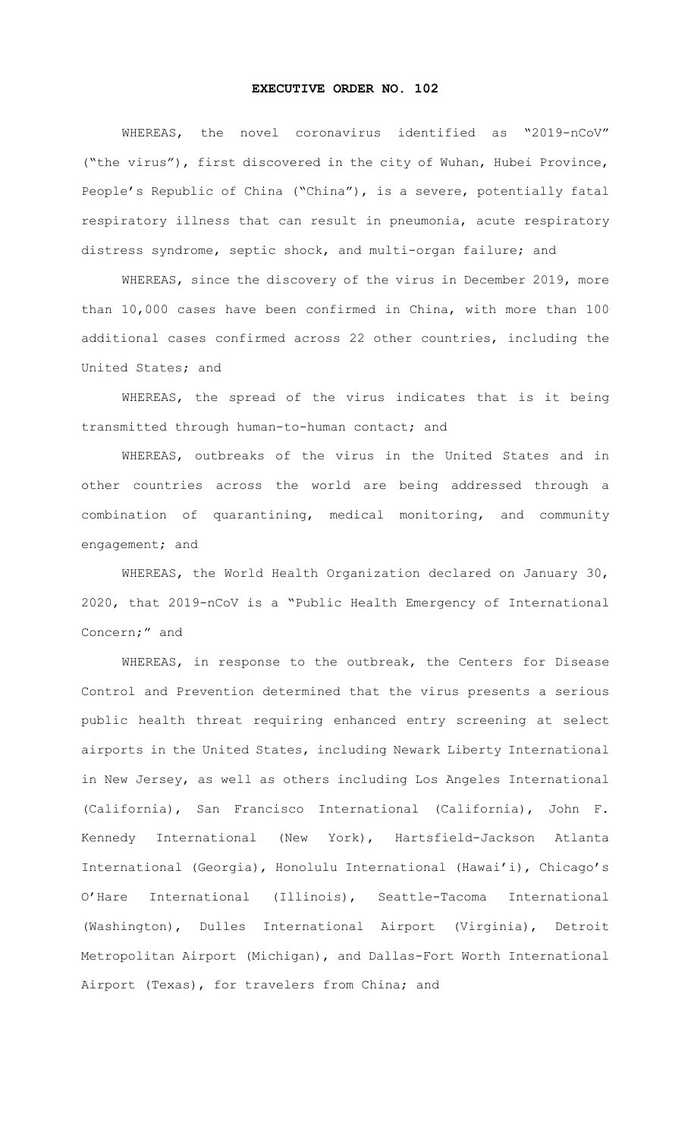## **EXECUTIVE ORDER NO. 102**

WHEREAS, the novel coronavirus identified as "2019-nCoV" ("the virus"), first discovered in the city of Wuhan, Hubei Province, People's Republic of China ("China"), is a severe, potentially fatal respiratory illness that can result in pneumonia, acute respiratory distress syndrome, septic shock, and multi-organ failure; and

WHEREAS, since the discovery of the virus in December 2019, more than 10,000 cases have been confirmed in China, with more than 100 additional cases confirmed across 22 other countries, including the United States; and

WHEREAS, the spread of the virus indicates that is it being transmitted through human-to-human contact; and

WHEREAS, outbreaks of the virus in the United States and in other countries across the world are being addressed through a combination of quarantining, medical monitoring, and community engagement; and

WHEREAS, the World Health Organization declared on January 30, 2020, that 2019-nCoV is a "Public Health Emergency of International Concern;" and

WHEREAS, in response to the outbreak, the Centers for Disease Control and Prevention determined that the virus presents a serious public health threat requiring enhanced entry screening at select airports in the United States, including Newark Liberty International in New Jersey, as well as others including Los Angeles International (California), San Francisco International (California), John F. Kennedy International (New York), Hartsfield-Jackson Atlanta International (Georgia), Honolulu International (Hawai'i), Chicago's O'Hare International (Illinois), Seattle-Tacoma International (Washington), Dulles International Airport (Virginia), Detroit Metropolitan Airport (Michigan), and Dallas-Fort Worth International Airport (Texas), for travelers from China; and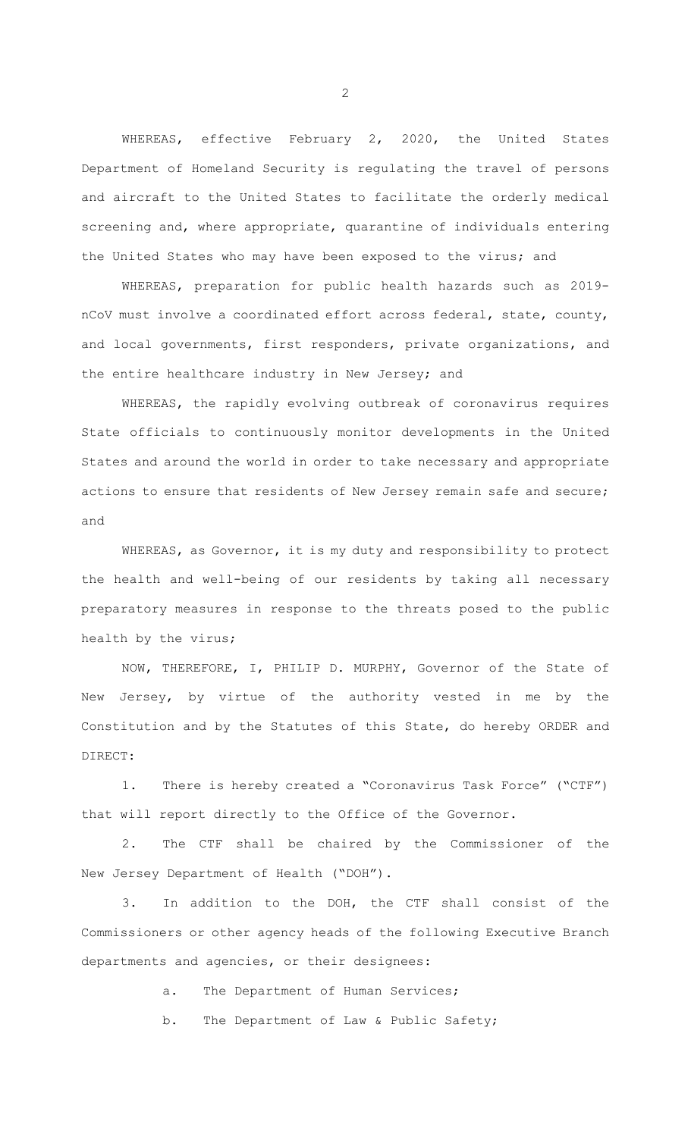WHEREAS, effective February 2, 2020, the United States Department of Homeland Security is regulating the travel of persons and aircraft to the United States to facilitate the orderly medical screening and, where appropriate, quarantine of individuals entering the United States who may have been exposed to the virus; and

WHEREAS, preparation for public health hazards such as 2019 nCoV must involve a coordinated effort across federal, state, county, and local governments, first responders, private organizations, and the entire healthcare industry in New Jersey; and

WHEREAS, the rapidly evolving outbreak of coronavirus requires State officials to continuously monitor developments in the United States and around the world in order to take necessary and appropriate actions to ensure that residents of New Jersey remain safe and secure; and

WHEREAS, as Governor, it is my duty and responsibility to protect the health and well-being of our residents by taking all necessary preparatory measures in response to the threats posed to the public health by the virus;

NOW, THEREFORE, I, PHILIP D. MURPHY, Governor of the State of New Jersey, by virtue of the authority vested in me by the Constitution and by the Statutes of this State, do hereby ORDER and DIRECT:

1. There is hereby created a "Coronavirus Task Force" ("CTF") that will report directly to the Office of the Governor.

2. The CTF shall be chaired by the Commissioner of the New Jersey Department of Health ("DOH").

3. In addition to the DOH, the CTF shall consist of the Commissioners or other agency heads of the following Executive Branch departments and agencies, or their designees:

a. The Department of Human Services;

b. The Department of Law & Public Safety;

2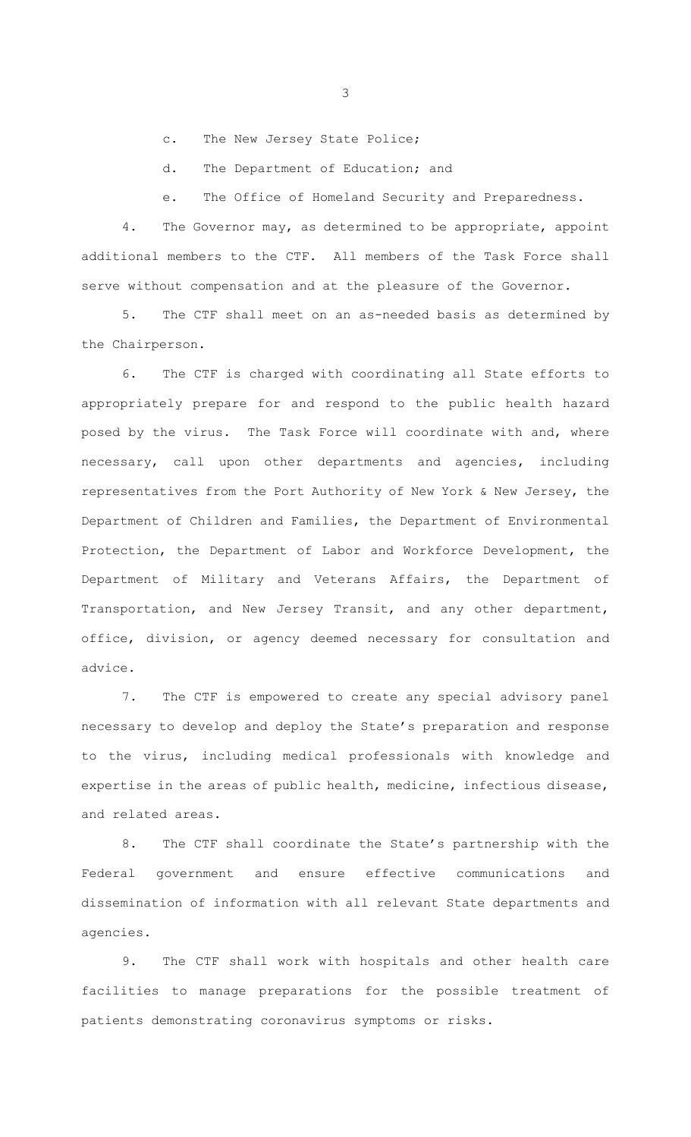c. The New Jersey State Police;

d. The Department of Education; and

e. The Office of Homeland Security and Preparedness.

4. The Governor may, as determined to be appropriate, appoint additional members to the CTF. All members of the Task Force shall serve without compensation and at the pleasure of the Governor.

5. The CTF shall meet on an as-needed basis as determined by the Chairperson.

6. The CTF is charged with coordinating all State efforts to appropriately prepare for and respond to the public health hazard posed by the virus. The Task Force will coordinate with and, where necessary, call upon other departments and agencies, including representatives from the Port Authority of New York & New Jersey, the Department of Children and Families, the Department of Environmental Protection, the Department of Labor and Workforce Development, the Department of Military and Veterans Affairs, the Department of Transportation, and New Jersey Transit, and any other department, office, division, or agency deemed necessary for consultation and advice.

7. The CTF is empowered to create any special advisory panel necessary to develop and deploy the State's preparation and response to the virus, including medical professionals with knowledge and expertise in the areas of public health, medicine, infectious disease, and related areas.

8. The CTF shall coordinate the State's partnership with the Federal government and ensure effective communications and dissemination of information with all relevant State departments and agencies.

9. The CTF shall work with hospitals and other health care facilities to manage preparations for the possible treatment of patients demonstrating coronavirus symptoms or risks.

3